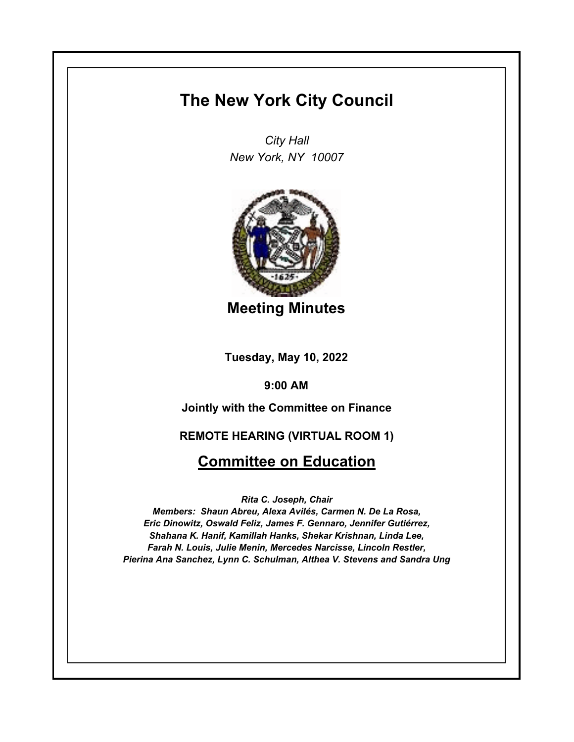# **The New York City Council**

*City Hall New York, NY 10007*



**Meeting Minutes**

**Tuesday, May 10, 2022**

**9:00 AM**

**Jointly with the Committee on Finance**

**REMOTE HEARING (VIRTUAL ROOM 1)**

## **Committee on Education**

*Rita C. Joseph, Chair*

*Members: Shaun Abreu, Alexa Avilés, Carmen N. De La Rosa, Eric Dinowitz, Oswald Feliz, James F. Gennaro, Jennifer Gutiérrez, Shahana K. Hanif, Kamillah Hanks, Shekar Krishnan, Linda Lee, Farah N. Louis, Julie Menin, Mercedes Narcisse, Lincoln Restler, Pierina Ana Sanchez, Lynn C. Schulman, Althea V. Stevens and Sandra Ung*